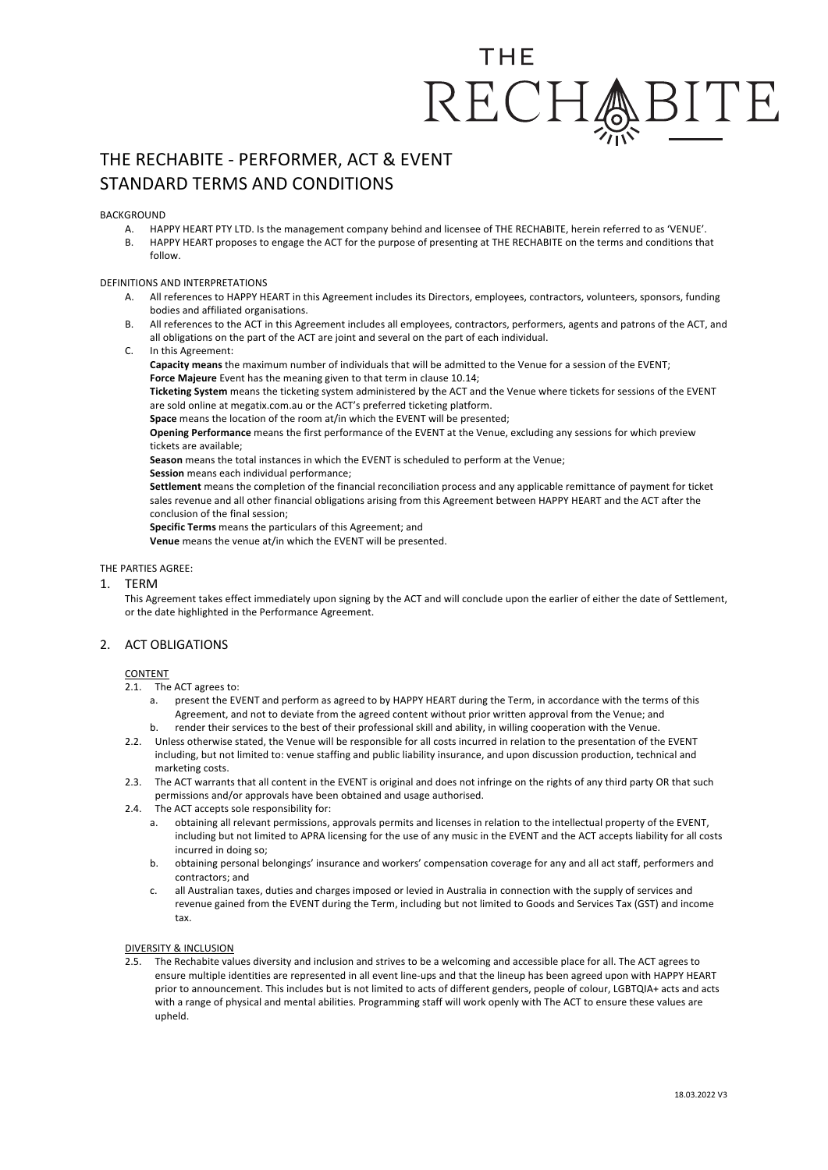# THF RECHA

# THE RECHABITE - PERFORMER, ACT & EVENT STANDARD TERMS AND CONDITIONS

**BACKGROUND** 

- A. HAPPY HEART PTY LTD. Is the management company behind and licensee of THE RECHABITE, herein referred to as 'VENUE'.
- B. HAPPY HEART proposes to engage the ACT for the purpose of presenting at THE RECHABITE on the terms and conditions that follow.

# DEFINITIONS AND INTERPRETATIONS

- A. All references to HAPPY HEART in this Agreement includes its Directors, employees, contractors, volunteers, sponsors, funding bodies and affiliated organisations.
- B. All references to the ACT in this Agreement includes all employees, contractors, performers, agents and patrons of the ACT, and all obligations on the part of the ACT are joint and several on the part of each individual.
- C. In this Agreement:

**Capacity means** the maximum number of individuals that will be admitted to the Venue for a session of the EVENT; **Force Majeure** Event has the meaning given to that term in clause 10.14;

**Ticketing System** means the ticketing system administered by the ACT and the Venue where tickets for sessions of the EVENT are sold online at megatix.com.au or the ACT's preferred ticketing platform.

**Space** means the location of the room at/in which the EVENT will be presented;

**Opening Performance** means the first performance of the EVENT at the Venue, excluding any sessions for which preview tickets are available;

**Season** means the total instances in which the EVENT is scheduled to perform at the Venue;

**Session** means each individual performance;

**Settlement** means the completion of the financial reconciliation process and any applicable remittance of payment for ticket sales revenue and all other financial obligations arising from this Agreement between HAPPY HEART and the ACT after the conclusion of the final session;

**Specific Terms** means the particulars of this Agreement; and

**Venue** means the venue at/in which the EVENT will be presented.

# THE PARTIES AGREE:

1. TERM

This Agreement takes effect immediately upon signing by the ACT and will conclude upon the earlier of either the date of Settlement, or the date highlighted in the Performance Agreement.

# 2. ACT OBLIGATIONS

# **CONTENT**

- 2.1. The ACT agrees to:
	- a. present the EVENT and perform as agreed to by HAPPY HEART during the Term, in accordance with the terms of this Agreement, and not to deviate from the agreed content without prior written approval from the Venue; and
	- b. render their services to the best of their professional skill and ability, in willing cooperation with the Venue.
- 2.2. Unless otherwise stated, the Venue will be responsible for all costs incurred in relation to the presentation of the EVENT including, but not limited to: venue staffing and public liability insurance, and upon discussion production, technical and marketing costs.
- 2.3. The ACT warrants that all content in the EVENT is original and does not infringe on the rights of any third party OR that such permissions and/or approvals have been obtained and usage authorised.
- 2.4. The ACT accepts sole responsibility for:
	- a. obtaining all relevant permissions, approvals permits and licenses in relation to the intellectual property of the EVENT, including but not limited to APRA licensing for the use of any music in the EVENT and the ACT accepts liability for all costs incurred in doing so;
	- b. obtaining personal belongings' insurance and workers' compensation coverage for any and all act staff, performers and contractors; and
	- c. all Australian taxes, duties and charges imposed or levied in Australia in connection with the supply of services and revenue gained from the EVENT during the Term, including but not limited to Goods and Services Tax (GST) and income tax.

# DIVERSITY & INCLUSION

2.5. The Rechabite values diversity and inclusion and strives to be a welcoming and accessible place for all. The ACT agrees to ensure multiple identities are represented in all event line-ups and that the lineup has been agreed upon with HAPPY HEART prior to announcement. This includes but is not limited to acts of different genders, people of colour, LGBTQIA+ acts and acts with a range of physical and mental abilities. Programming staff will work openly with The ACT to ensure these values are upheld.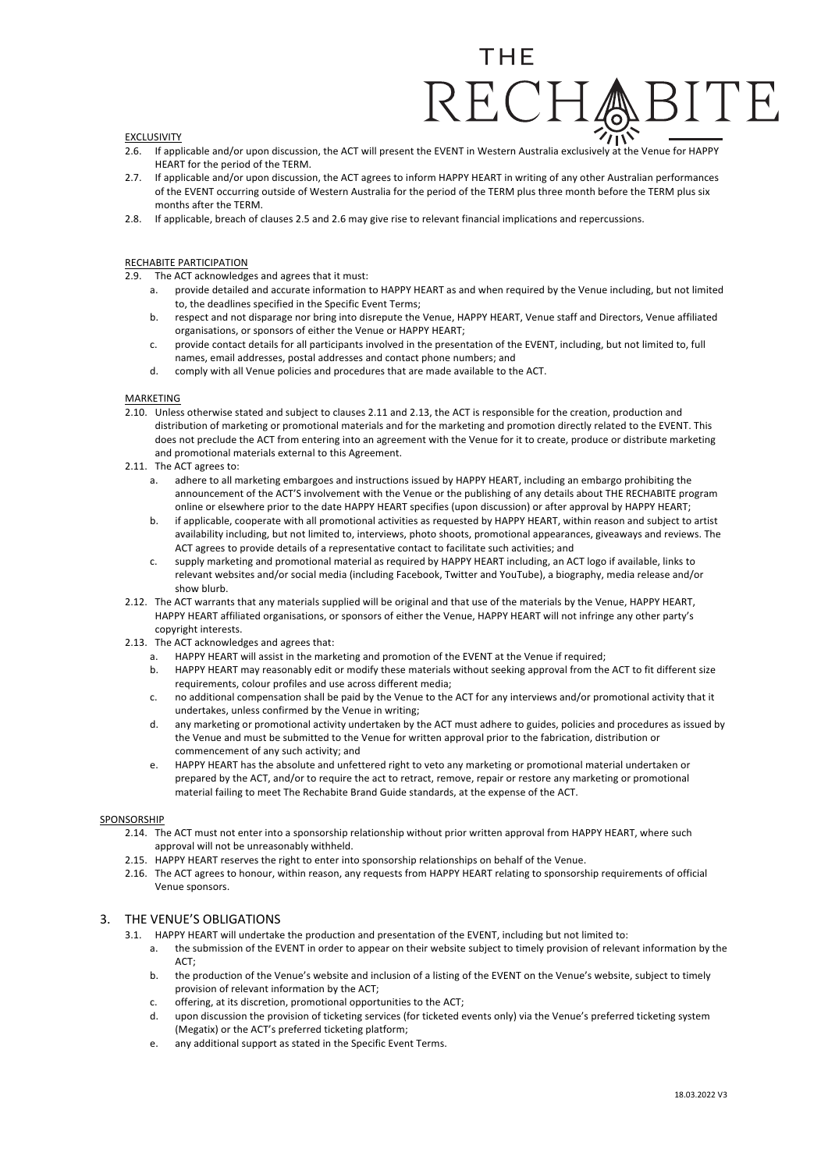### EXCLUSIVITY

- 2.6. If applicable and/or upon discussion, the ACT will present the EVENT in Western Australia exclusively at the Venue for HAPPY HEART for the period of the TERM.
- 2.7. If applicable and/or upon discussion, the ACT agrees to inform HAPPY HEART in writing of any other Australian performances of the EVENT occurring outside of Western Australia for the period of the TERM plus three month before the TERM plus six months after the TERM.
- 2.8. If applicable, breach of clauses 2.5 and 2.6 may give rise to relevant financial implications and repercussions.

# RECHABITE PARTICIPATION

- 2.9. The ACT acknowledges and agrees that it must:
	- a. provide detailed and accurate information to HAPPY HEART as and when required by the Venue including, but not limited to, the deadlines specified in the Specific Event Terms;
	- b. respect and not disparage nor bring into disrepute the Venue, HAPPY HEART, Venue staff and Directors, Venue affiliated organisations, or sponsors of either the Venue or HAPPY HEART;
	- c. provide contact details for all participants involved in the presentation of the EVENT, including, but not limited to, full names, email addresses, postal addresses and contact phone numbers; and
	- d. comply with all Venue policies and procedures that are made available to the ACT.

### MARKETING

- 2.10. Unless otherwise stated and subject to clauses 2.11 and 2.13, the ACT is responsible for the creation, production and distribution of marketing or promotional materials and for the marketing and promotion directly related to the EVENT. This does not preclude the ACT from entering into an agreement with the Venue for it to create, produce or distribute marketing and promotional materials external to this Agreement.
- 2.11. The ACT agrees to:
	- a. adhere to all marketing embargoes and instructions issued by HAPPY HEART, including an embargo prohibiting the announcement of the ACT'S involvement with the Venue or the publishing of any details about THE RECHABITE program online or elsewhere prior to the date HAPPY HEART specifies (upon discussion) or after approval by HAPPY HEART;
	- b. if applicable, cooperate with all promotional activities as requested by HAPPY HEART, within reason and subject to artist availability including, but not limited to, interviews, photo shoots, promotional appearances, giveaways and reviews. The ACT agrees to provide details of a representative contact to facilitate such activities; and
	- c. supply marketing and promotional material as required by HAPPY HEART including, an ACT logo if available, links to relevant websites and/or social media (including Facebook, Twitter and YouTube), a biography, media release and/or show blurb.
- 2.12. The ACT warrants that any materials supplied will be original and that use of the materials by the Venue, HAPPY HEART, HAPPY HEART affiliated organisations, or sponsors of either the Venue, HAPPY HEART will not infringe any other party's copyright interests.
- 2.13. The ACT acknowledges and agrees that:
	- a. HAPPY HEART will assist in the marketing and promotion of the EVENT at the Venue if required;
	- b. HAPPY HEART may reasonably edit or modify these materials without seeking approval from the ACT to fit different size requirements, colour profiles and use across different media;
	- c. no additional compensation shall be paid by the Venue to the ACT for any interviews and/or promotional activity that it undertakes, unless confirmed by the Venue in writing;
	- d. any marketing or promotional activity undertaken by the ACT must adhere to guides, policies and procedures as issued by the Venue and must be submitted to the Venue for written approval prior to the fabrication, distribution or commencement of any such activity; and
	- e. HAPPY HEART has the absolute and unfettered right to veto any marketing or promotional material undertaken or prepared by the ACT, and/or to require the act to retract, remove, repair or restore any marketing or promotional material failing to meet The Rechabite Brand Guide standards, at the expense of the ACT.

#### SPONSORSHIP

- 2.14. The ACT must not enter into a sponsorship relationship without prior written approval from HAPPY HEART, where such approval will not be unreasonably withheld.
- 2.15. HAPPY HEART reserves the right to enter into sponsorship relationships on behalf of the Venue.
- 2.16. The ACT agrees to honour, within reason, any requests from HAPPY HEART relating to sponsorship requirements of official Venue sponsors.

# 3. THE VENUE'S OBLIGATIONS

- 3.1. HAPPY HEART will undertake the production and presentation of the EVENT, including but not limited to:
	- a. the submission of the EVENT in order to appear on their website subject to timely provision of relevant information by the ACT;
	- b. the production of the Venue's website and inclusion of a listing of the EVENT on the Venue's website, subject to timely provision of relevant information by the ACT;
	- c. offering, at its discretion, promotional opportunities to the ACT;
	- d. upon discussion the provision of ticketing services (for ticketed events only) via the Venue's preferred ticketing system (Megatix) or the ACT's preferred ticketing platform;
	- e. any additional support as stated in the Specific Event Terms.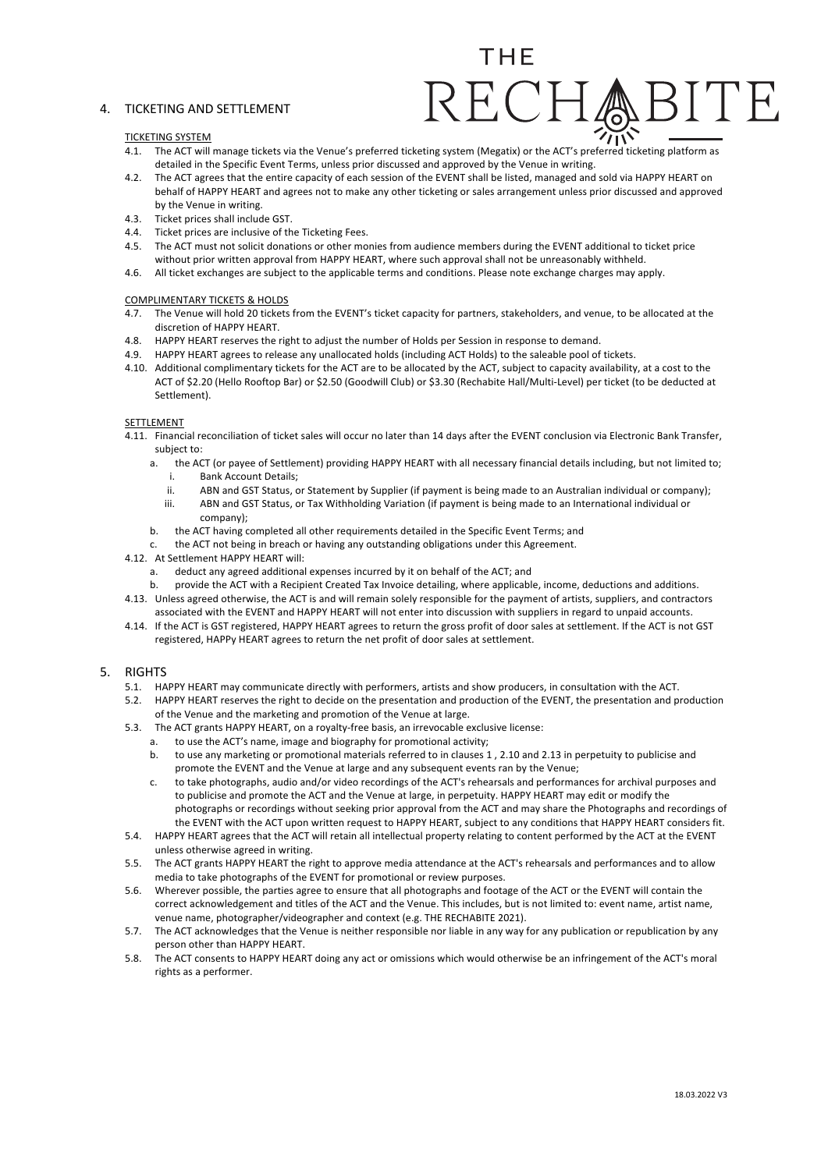# 4. TICKETING AND SETTLEMENT

# THF

# TICKETING SYSTEM

- 4.1. The ACT will manage tickets via the Venue's preferred ticketing system (Megatix) or the ACT's preferred ticketing platform as detailed in the Specific Event Terms, unless prior discussed and approved by the Venue in writing.
- 4.2. The ACT agrees that the entire capacity of each session of the EVENT shall be listed, managed and sold via HAPPY HEART on behalf of HAPPY HEART and agrees not to make any other ticketing or sales arrangement unless prior discussed and approved by the Venue in writing.
- 4.3. Ticket prices shall include GST.
- 4.4. Ticket prices are inclusive of the Ticketing Fees.
- 4.5. The ACT must not solicit donations or other monies from audience members during the EVENT additional to ticket price
- without prior written approval from HAPPY HEART, where such approval shall not be unreasonably withheld. 4.6. All ticket exchanges are subject to the applicable terms and conditions. Please note exchange charges may apply.

# COMPLIMENTARY TICKETS & HOLDS

- 4.7. The Venue will hold 20 tickets from the EVENT's ticket capacity for partners, stakeholders, and venue, to be allocated at the discretion of HAPPY HEART.
- 4.8. HAPPY HEART reserves the right to adjust the number of Holds per Session in response to demand.
- 4.9. HAPPY HEART agrees to release any unallocated holds (including ACT Holds) to the saleable pool of tickets.
- 4.10. Additional complimentary tickets for the ACT are to be allocated by the ACT, subject to capacity availability, at a cost to the ACT of \$2.20 (Hello Rooftop Bar) or \$2.50 (Goodwill Club) or \$3.30 (Rechabite Hall/Multi-Level) per ticket (to be deducted at Settlement).

# SETTLEMENT

- 4.11. Financial reconciliation of ticket sales will occur no later than 14 days after the EVENT conclusion via Electronic Bank Transfer, subject to:
	- a. the ACT (or payee of Settlement) providing HAPPY HEART with all necessary financial details including, but not limited to; i. Bank Account Details;
		- ii. ABN and GST Status, or Statement by Supplier (if payment is being made to an Australian individual or company); iii. ABN and GST Status, or Tax Withholding Variation (if payment is being made to an International individual or
		- company);
	- b. the ACT having completed all other requirements detailed in the Specific Event Terms; and
	- the ACT not being in breach or having any outstanding obligations under this Agreement.

# 4.12. At Settlement HAPPY HEART will:

- a. deduct any agreed additional expenses incurred by it on behalf of the ACT; and
- b. provide the ACT with a Recipient Created Tax Invoice detailing, where applicable, income, deductions and additions. 4.13. Unless agreed otherwise, the ACT is and will remain solely responsible for the payment of artists, suppliers, and contractors
- associated with the EVENT and HAPPY HEART will not enter into discussion with suppliers in regard to unpaid accounts.
- 4.14. If the ACT is GST registered, HAPPY HEART agrees to return the gross profit of door sales at settlement. If the ACT is not GST registered, HAPPy HEART agrees to return the net profit of door sales at settlement.

# 5. RIGHTS

- 5.1. HAPPY HEART may communicate directly with performers, artists and show producers, in consultation with the ACT.
- 5.2. HAPPY HEART reserves the right to decide on the presentation and production of the EVENT, the presentation and production of the Venue and the marketing and promotion of the Venue at large.
- 5.3. The ACT grants HAPPY HEART, on a royalty-free basis, an irrevocable exclusive license:
	- a. to use the ACT's name, image and biography for promotional activity;
	- b. to use any marketing or promotional materials referred to in clauses 1 , 2.10 and 2.13 in perpetuity to publicise and promote the EVENT and the Venue at large and any subsequent events ran by the Venue;
	- c. to take photographs, audio and/or video recordings of the ACT's rehearsals and performances for archival purposes and to publicise and promote the ACT and the Venue at large, in perpetuity. HAPPY HEART may edit or modify the photographs or recordings without seeking prior approval from the ACT and may share the Photographs and recordings of the EVENT with the ACT upon written request to HAPPY HEART, subject to any conditions that HAPPY HEART considers fit.
- 5.4. HAPPY HEART agrees that the ACT will retain all intellectual property relating to content performed by the ACT at the EVENT unless otherwise agreed in writing.
- 5.5. The ACT grants HAPPY HEART the right to approve media attendance at the ACT's rehearsals and performances and to allow media to take photographs of the EVENT for promotional or review purposes.
- 5.6. Wherever possible, the parties agree to ensure that all photographs and footage of the ACT or the EVENT will contain the correct acknowledgement and titles of the ACT and the Venue. This includes, but is not limited to: event name, artist name, venue name, photographer/videographer and context (e.g. THE RECHABITE 2021).
- 5.7. The ACT acknowledges that the Venue is neither responsible nor liable in any way for any publication or republication by any person other than HAPPY HEART.
- 5.8. The ACT consents to HAPPY HEART doing any act or omissions which would otherwise be an infringement of the ACT's moral rights as a performer.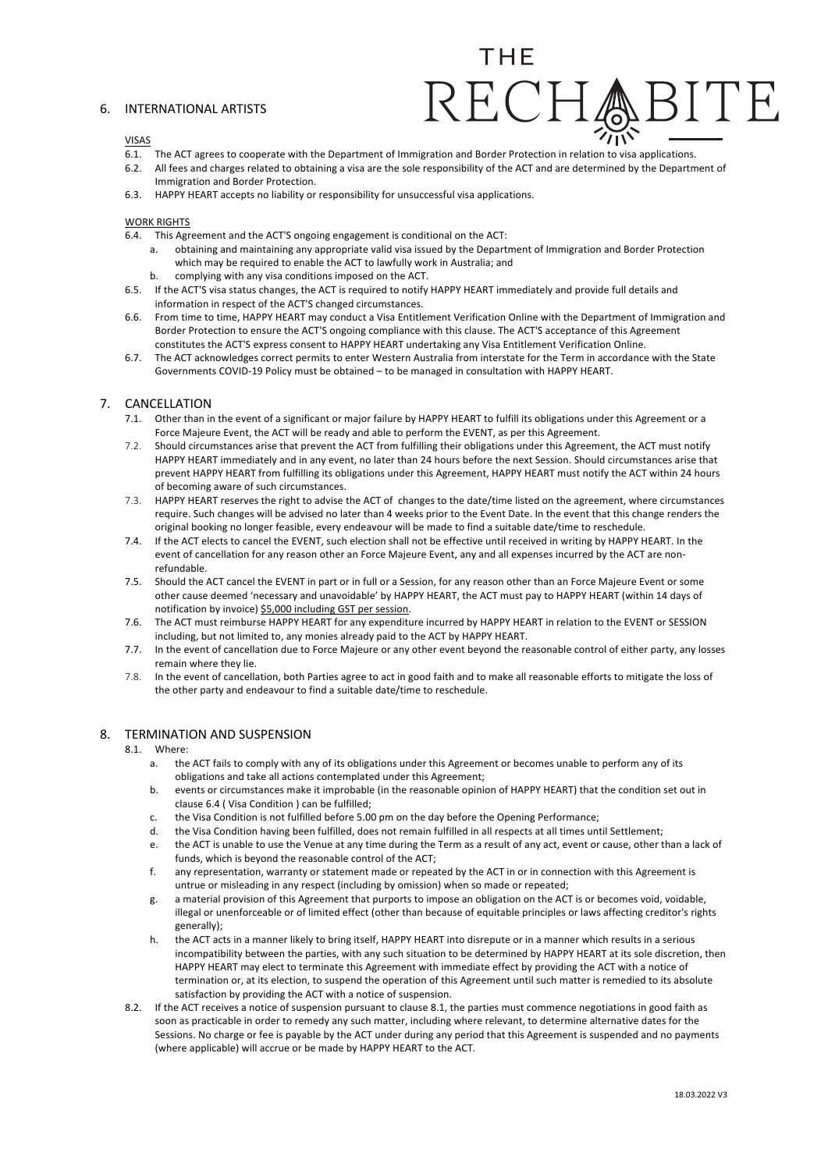# 6. INTERNATIONAL ARTISTS

# THF

#### VISAS

- 6.1. The ACT agrees to cooperate with the Department of Immigration and Border Protection in relation to visa applications.
- 6.2. All fees and charges related to obtaining a visa are the sole responsibility of the ACT and are determined by the Department of Immigration and Border Protection.
- 6.3. HAPPY HEART accepts no liability or responsibility for unsuccessful visa applications.

# WORK RIGHTS

- 6.4. This Agreement and the ACT'S ongoing engagement is conditional on the ACT:
	- a. obtaining and maintaining any appropriate valid visa issued by the Department of Immigration and Border Protection which may be required to enable the ACT to lawfully work in Australia; and
	- b. complying with any visa conditions imposed on the ACT.
- 6.5. If the ACT'S visa status changes, the ACT is required to notify HAPPY HEART immediately and provide full details and information in respect of the ACT'S changed circumstances.
- 6.6. From time to time, HAPPY HEART may conduct a Visa Entitlement Verification Online with the Department of Immigration and Border Protection to ensure the ACT'S ongoing compliance with this clause. The ACT'S acceptance of this Agreement constitutes the ACT'S express consent to HAPPY HEART undertaking any Visa Entitlement Verification Online.
- 6.7. The ACT acknowledges correct permits to enter Western Australia from interstate for the Term in accordance with the State Governments COVID-19 Policy must be obtained – to be managed in consultation with HAPPY HEART.

# 7. CANCELLATION

- 7.1. Other than in the event of a significant or major failure by HAPPY HEART to fulfill its obligations under this Agreement or a Force Majeure Event, the ACT will be ready and able to perform the EVENT, as per this Agreement.
- 7.2. Should circumstances arise that prevent the ACT from fulfilling their obligations under this Agreement, the ACT must notify HAPPY HEART immediately and in any event, no later than 24 hours before the next Session. Should circumstances arise that prevent HAPPY HEART from fulfilling its obligations under this Agreement, HAPPY HEART must notify the ACT within 24 hours of becoming aware of such circumstances.
- 7.3. HAPPY HEART reserves the right to advise the ACT of changes to the date/time listed on the agreement, where circumstances require. Such changes will be advised no later than 4 weeks prior to the Event Date. In the event that this change renders the original booking no longer feasible, every endeavour will be made to find a suitable date/time to reschedule.
- 7.4. If the ACT elects to cancel the EVENT, such election shall not be effective until received in writing by HAPPY HEART. In the event of cancellation for any reason other an Force Majeure Event, any and all expenses incurred by the ACT are nonrefundable.
- 7.5. Should the ACT cancel the EVENT in part or in full or a Session, for any reason other than an Force Majeure Event or some other cause deemed 'necessary and unavoidable' by HAPPY HEART, the ACT must pay to HAPPY HEART (within 14 days of notification by invoice) \$5,000 including GST per session.
- 7.6. The ACT must reimburse HAPPY HEART for any expenditure incurred by HAPPY HEART in relation to the EVENT or SESSION including, but not limited to, any monies already paid to the ACT by HAPPY HEART.
- 7.7. In the event of cancellation due to Force Majeure or any other event beyond the reasonable control of either party, any losses remain where they lie.
- 7.8. In the event of cancellation, both Parties agree to act in good faith and to make all reasonable efforts to mitigate the loss of the other party and endeavour to find a suitable date/time to reschedule.

# 8. TERMINATION AND SUSPENSION

# 8.1. Where:

- a. the ACT fails to comply with any of its obligations under this Agreement or becomes unable to perform any of its obligations and take all actions contemplated under this Agreement;
- b. events or circumstances make it improbable (in the reasonable opinion of HAPPY HEART) that the condition set out in clause 6.4 ( Visa Condition ) can be fulfilled;
- c. the Visa Condition is not fulfilled before 5.00 pm on the day before the Opening Performance;
- d. the Visa Condition having been fulfilled, does not remain fulfilled in all respects at all times until Settlement;
- e. the ACT is unable to use the Venue at any time during the Term as a result of any act, event or cause, other than a lack of funds, which is beyond the reasonable control of the ACT;
- f. any representation, warranty or statement made or repeated by the ACT in or in connection with this Agreement is untrue or misleading in any respect (including by omission) when so made or repeated;
- g. a material provision of this Agreement that purports to impose an obligation on the ACT is or becomes void, voidable, illegal or unenforceable or of limited effect (other than because of equitable principles or laws affecting creditor's rights generally);
- h. the ACT acts in a manner likely to bring itself, HAPPY HEART into disrepute or in a manner which results in a serious incompatibility between the parties, with any such situation to be determined by HAPPY HEART at its sole discretion, then HAPPY HEART may elect to terminate this Agreement with immediate effect by providing the ACT with a notice of termination or, at its election, to suspend the operation of this Agreement until such matter is remedied to its absolute satisfaction by providing the ACT with a notice of suspension.
- 8.2. If the ACT receives a notice of suspension pursuant to clause 8.1, the parties must commence negotiations in good faith as soon as practicable in order to remedy any such matter, including where relevant, to determine alternative dates for the Sessions. No charge or fee is payable by the ACT under during any period that this Agreement is suspended and no payments (where applicable) will accrue or be made by HAPPY HEART to the ACT.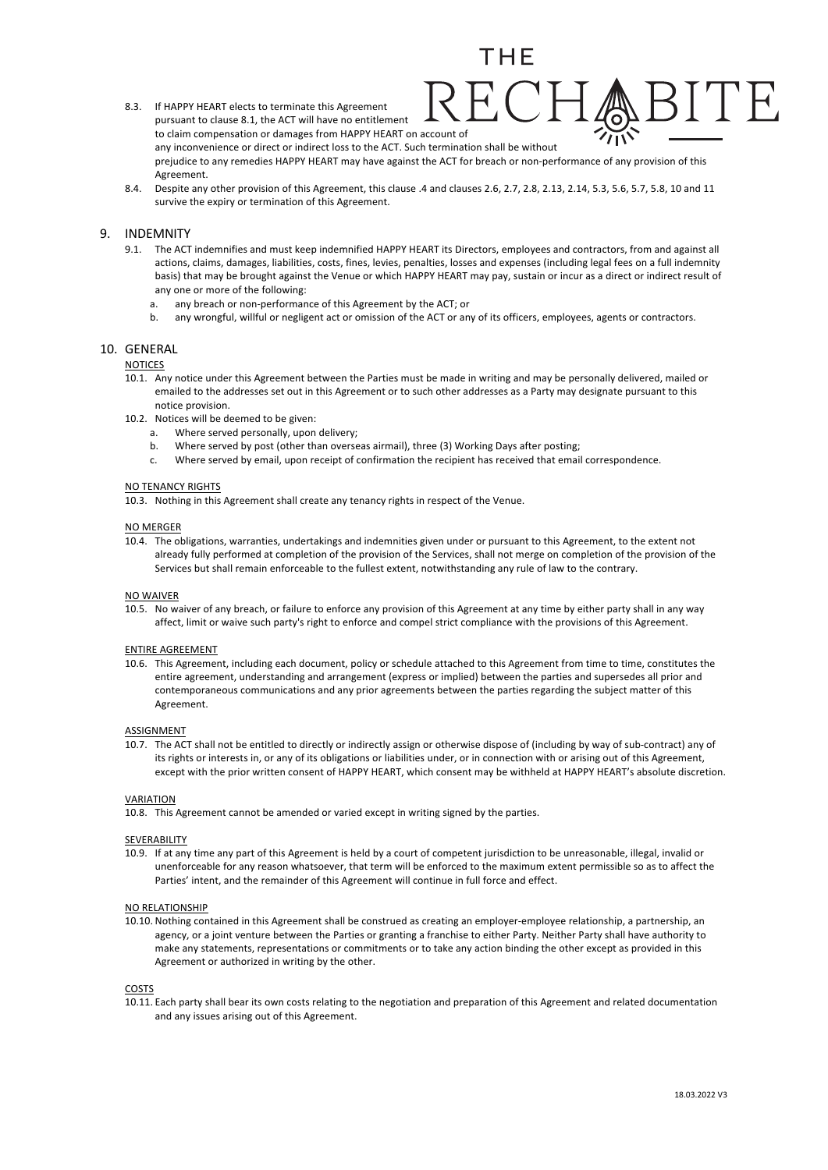- 8.3. If HAPPY HEART elects to terminate this Agreement pursuant to clause 8.1, the ACT will have no entitlement to claim compensation or damages from HAPPY HEART on account of any inconvenience or direct or indirect loss to the ACT. Such termination shall be without prejudice to any remedies HAPPY HEART may have against the ACT for breach or non-performance of any provision of this Agreement.
- 8.4. Despite any other provision of this Agreement, this clause .4 and clauses 2.6, 2.7, 2.8, 2.13, 2.14, 5.3, 5.6, 5.7, 5.8, 10 and 11 survive the expiry or termination of this Agreement.

# 9. INDEMNITY

- 9.1. The ACT indemnifies and must keep indemnified HAPPY HEART its Directors, employees and contractors, from and against all actions, claims, damages, liabilities, costs, fines, levies, penalties, losses and expenses (including legal fees on a full indemnity basis) that may be brought against the Venue or which HAPPY HEART may pay, sustain or incur as a direct or indirect result of any one or more of the following:
	- a. any breach or non-performance of this Agreement by the ACT; or
	- b. any wrongful, willful or negligent act or omission of the ACT or any of its officers, employees, agents or contractors.

# 10. GENERAL

#### NOTICES

- 10.1. Any notice under this Agreement between the Parties must be made in writing and may be personally delivered, mailed or emailed to the addresses set out in this Agreement or to such other addresses as a Party may designate pursuant to this notice provision.
- 10.2. Notices will be deemed to be given:
	- a. Where served personally, upon delivery;
	- b. Where served by post (other than overseas airmail), three (3) Working Days after posting;
	- c. Where served by email, upon receipt of confirmation the recipient has received that email correspondence.

#### NO TENANCY RIGHTS

10.3. Nothing in this Agreement shall create any tenancy rights in respect of the Venue.

#### NO MERGER

10.4. The obligations, warranties, undertakings and indemnities given under or pursuant to this Agreement, to the extent not already fully performed at completion of the provision of the Services, shall not merge on completion of the provision of the Services but shall remain enforceable to the fullest extent, notwithstanding any rule of law to the contrary.

#### NO WAIVER

10.5. No waiver of any breach, or failure to enforce any provision of this Agreement at any time by either party shall in any way affect, limit or waive such party's right to enforce and compel strict compliance with the provisions of this Agreement.

#### ENTIRE AGREEMENT

10.6. This Agreement, including each document, policy or schedule attached to this Agreement from time to time, constitutes the entire agreement, understanding and arrangement (express or implied) between the parties and supersedes all prior and contemporaneous communications and any prior agreements between the parties regarding the subject matter of this Agreement.

#### ASSIGNMENT

10.7. The ACT shall not be entitled to directly or indirectly assign or otherwise dispose of (including by way of sub-contract) any of its rights or interests in, or any of its obligations or liabilities under, or in connection with or arising out of this Agreement, except with the prior written consent of HAPPY HEART, which consent may be withheld at HAPPY HEART's absolute discretion.

#### **VARIATION**

10.8. This Agreement cannot be amended or varied except in writing signed by the parties.

#### SEVERABILITY

10.9. If at any time any part of this Agreement is held by a court of competent jurisdiction to be unreasonable, illegal, invalid or unenforceable for any reason whatsoever, that term will be enforced to the maximum extent permissible so as to affect the Parties' intent, and the remainder of this Agreement will continue in full force and effect.

#### NO RELATIONSHIP

10.10. Nothing contained in this Agreement shall be construed as creating an employer-employee relationship, a partnership, an agency, or a joint venture between the Parties or granting a franchise to either Party. Neither Party shall have authority to make any statements, representations or commitments or to take any action binding the other except as provided in this Agreement or authorized in writing by the other.

#### **COSTS**

10.11. Each party shall bear its own costs relating to the negotiation and preparation of this Agreement and related documentation and any issues arising out of this Agreement.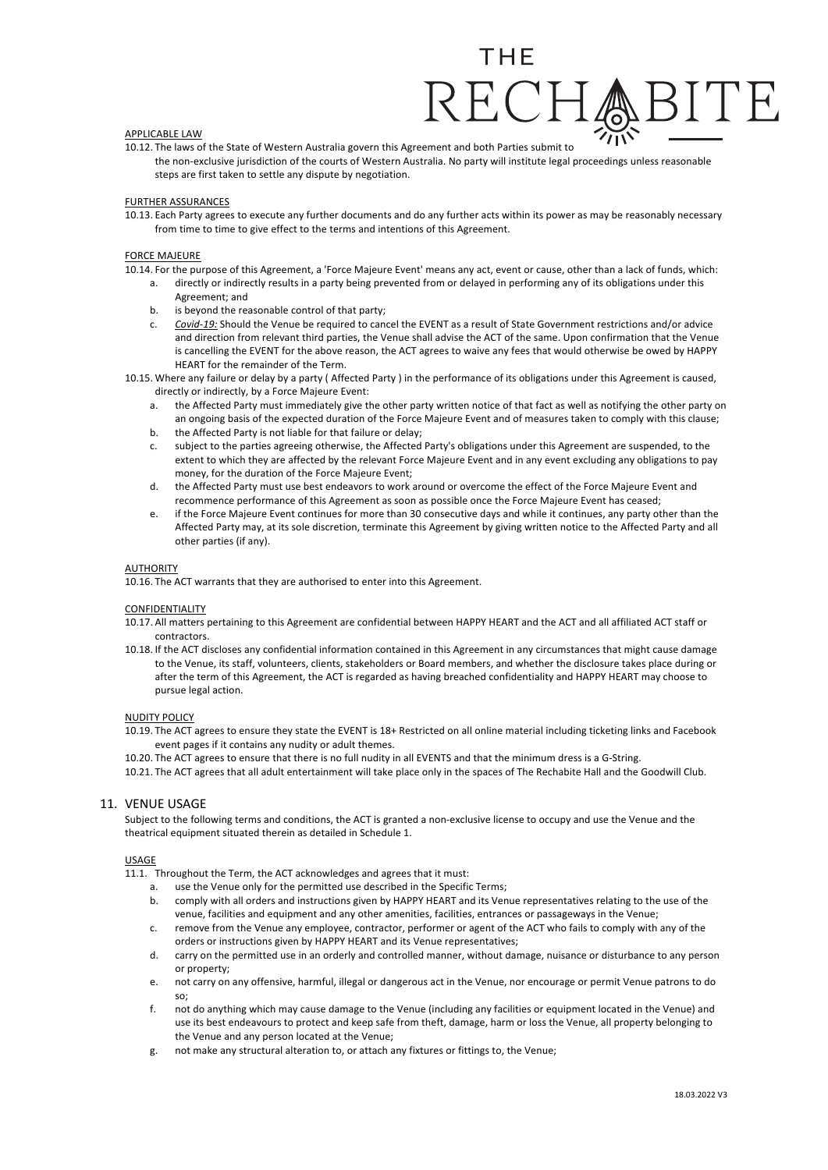# APPLICABLE LAW

10.12. The laws of the State of Western Australia govern this Agreement and both Parties submit to the non-exclusive jurisdiction of the courts of Western Australia. No party will institute legal proceedings unless reasonable steps are first taken to settle any dispute by negotiation.

#### FURTHER ASSURANCES

10.13. Each Party agrees to execute any further documents and do any further acts within its power as may be reasonably necessary from time to time to give effect to the terms and intentions of this Agreement.

#### FORCE MAJEURE

- 10.14. For the purpose of this Agreement, a 'Force Majeure Event' means any act, event or cause, other than a lack of funds, which:
	- a. directly or indirectly results in a party being prevented from or delayed in performing any of its obligations under this Agreement; and
	- b. is beyond the reasonable control of that party;
	- c. *Covid-19:* Should the Venue be required to cancel the EVENT as a result of State Government restrictions and/or advice and direction from relevant third parties, the Venue shall advise the ACT of the same. Upon confirmation that the Venue is cancelling the EVENT for the above reason, the ACT agrees to waive any fees that would otherwise be owed by HAPPY HEART for the remainder of the Term.
- 10.15. Where any failure or delay by a party ( Affected Party ) in the performance of its obligations under this Agreement is caused, directly or indirectly, by a Force Majeure Event:
	- a. the Affected Party must immediately give the other party written notice of that fact as well as notifying the other party on an ongoing basis of the expected duration of the Force Majeure Event and of measures taken to comply with this clause;
	- b. the Affected Party is not liable for that failure or delay;
	- c. subject to the parties agreeing otherwise, the Affected Party's obligations under this Agreement are suspended, to the extent to which they are affected by the relevant Force Majeure Event and in any event excluding any obligations to pay money, for the duration of the Force Majeure Event;
	- d. the Affected Party must use best endeavors to work around or overcome the effect of the Force Majeure Event and recommence performance of this Agreement as soon as possible once the Force Majeure Event has ceased;
	- e. if the Force Majeure Event continues for more than 30 consecutive days and while it continues, any party other than the Affected Party may, at its sole discretion, terminate this Agreement by giving written notice to the Affected Party and all other parties (if any).

#### **AUTHORITY**

10.16. The ACT warrants that they are authorised to enter into this Agreement.

#### CONFIDENTIALITY

- 10.17. All matters pertaining to this Agreement are confidential between HAPPY HEART and the ACT and all affiliated ACT staff or contractors.
- 10.18. If the ACT discloses any confidential information contained in this Agreement in any circumstances that might cause damage to the Venue, its staff, volunteers, clients, stakeholders or Board members, and whether the disclosure takes place during or after the term of this Agreement, the ACT is regarded as having breached confidentiality and HAPPY HEART may choose to pursue legal action.

#### NUDITY POLICY

- 10.19. The ACT agrees to ensure they state the EVENT is 18+ Restricted on all online material including ticketing links and Facebook event pages if it contains any nudity or adult themes.
- 10.20. The ACT agrees to ensure that there is no full nudity in all EVENTS and that the minimum dress is a G-String.
- 10.21. The ACT agrees that all adult entertainment will take place only in the spaces of The Rechabite Hall and the Goodwill Club.

### 11. VENUE USAGE

Subject to the following terms and conditions, the ACT is granted a non-exclusive license to occupy and use the Venue and the theatrical equipment situated therein as detailed in Schedule 1.

#### USAGE

11.1. Throughout the Term, the ACT acknowledges and agrees that it must:

- a. use the Venue only for the permitted use described in the Specific Terms;
- b. comply with all orders and instructions given by HAPPY HEART and its Venue representatives relating to the use of the venue, facilities and equipment and any other amenities, facilities, entrances or passageways in the Venue;
- c. remove from the Venue any employee, contractor, performer or agent of the ACT who fails to comply with any of the orders or instructions given by HAPPY HEART and its Venue representatives;
- d. carry on the permitted use in an orderly and controlled manner, without damage, nuisance or disturbance to any person or property;
- e. not carry on any offensive, harmful, illegal or dangerous act in the Venue, nor encourage or permit Venue patrons to do so;
- f. not do anything which may cause damage to the Venue (including any facilities or equipment located in the Venue) and use its best endeavours to protect and keep safe from theft, damage, harm or loss the Venue, all property belonging to the Venue and any person located at the Venue;
- g. not make any structural alteration to, or attach any fixtures or fittings to, the Venue;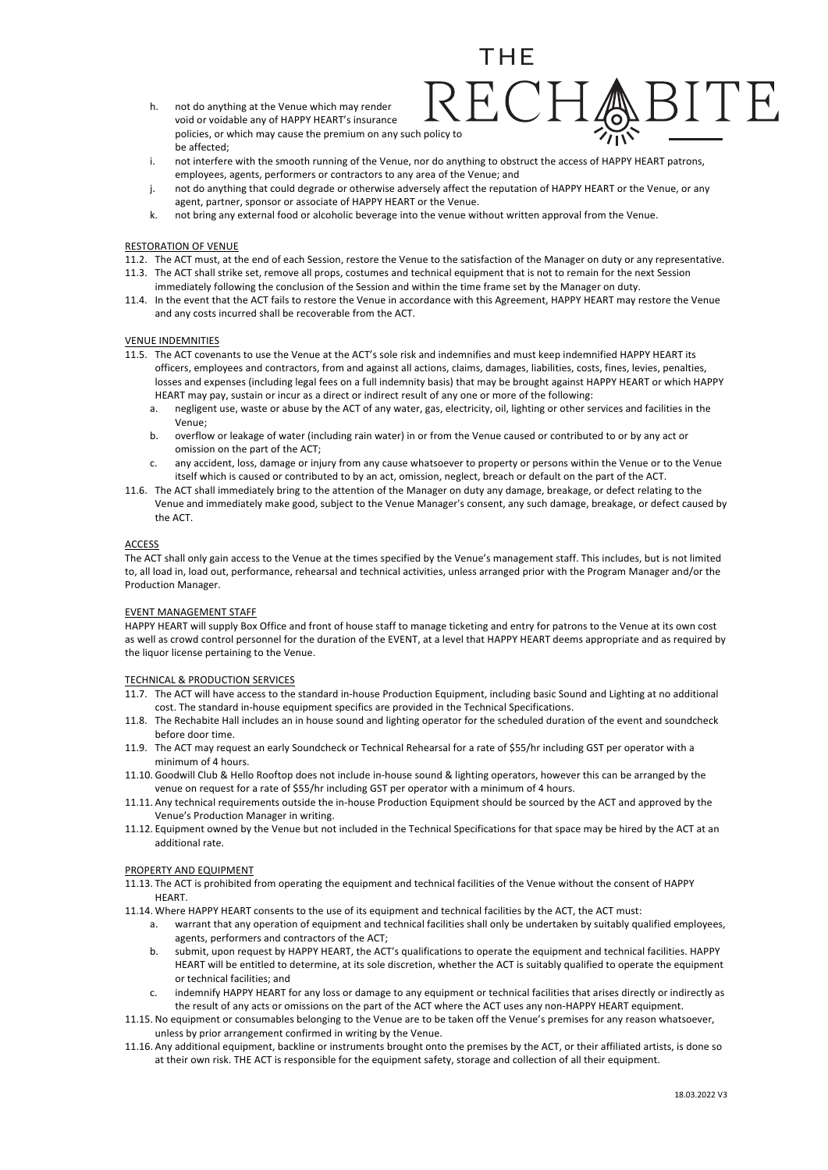- h. not do anything at the Venue which may render void or voidable any of HAPPY HEART's insurance policies, or which may cause the premium on any such policy to be affected;
- i. not interfere with the smooth running of the Venue, nor do anything to obstruct the access of HAPPY HEART patrons, employees, agents, performers or contractors to any area of the Venue; and

- j. not do anything that could degrade or otherwise adversely affect the reputation of HAPPY HEART or the Venue, or any agent, partner, sponsor or associate of HAPPY HEART or the Venue.
- k. not bring any external food or alcoholic beverage into the venue without written approval from the Venue.

#### RESTORATION OF VENUE

- 11.2. The ACT must, at the end of each Session, restore the Venue to the satisfaction of the Manager on duty or any representative.
- 11.3. The ACT shall strike set, remove all props, costumes and technical equipment that is not to remain for the next Session
- immediately following the conclusion of the Session and within the time frame set by the Manager on duty.
- 11.4. In the event that the ACT fails to restore the Venue in accordance with this Agreement, HAPPY HEART may restore the Venue and any costs incurred shall be recoverable from the ACT.

#### VENUE INDEMNITIES

- 11.5. The ACT covenants to use the Venue at the ACT's sole risk and indemnifies and must keep indemnified HAPPY HEART its officers, employees and contractors, from and against all actions, claims, damages, liabilities, costs, fines, levies, penalties, losses and expenses (including legal fees on a full indemnity basis) that may be brought against HAPPY HEART or which HAPPY HEART may pay, sustain or incur as a direct or indirect result of any one or more of the following:
	- a. negligent use, waste or abuse by the ACT of any water, gas, electricity, oil, lighting or other services and facilities in the Venue;
	- b. overflow or leakage of water (including rain water) in or from the Venue caused or contributed to or by any act or omission on the part of the ACT;
	- any accident, loss, damage or injury from any cause whatsoever to property or persons within the Venue or to the Venue itself which is caused or contributed to by an act, omission, neglect, breach or default on the part of the ACT.
- 11.6. The ACT shall immediately bring to the attention of the Manager on duty any damage, breakage, or defect relating to the Venue and immediately make good, subject to the Venue Manager's consent, any such damage, breakage, or defect caused by the ACT.

# ACCESS

The ACT shall only gain access to the Venue at the times specified by the Venue's management staff. This includes, but is not limited to, all load in, load out, performance, rehearsal and technical activities, unless arranged prior with the Program Manager and/or the Production Manager.

#### EVENT MANAGEMENT STAFF

HAPPY HEART will supply Box Office and front of house staff to manage ticketing and entry for patrons to the Venue at its own cost as well as crowd control personnel for the duration of the EVENT, at a level that HAPPY HEART deems appropriate and as required by the liquor license pertaining to the Venue.

# TECHNICAL & PRODUCTION SERVICES

- 11.7. The ACT will have access to the standard in-house Production Equipment, including basic Sound and Lighting at no additional cost. The standard in-house equipment specifics are provided in the Technical Specifications.
- 11.8. The Rechabite Hall includes an in house sound and lighting operator for the scheduled duration of the event and soundcheck before door time.
- 11.9. The ACT may request an early Soundcheck or Technical Rehearsal for a rate of \$55/hr including GST per operator with a minimum of 4 hours.
- 11.10. Goodwill Club & Hello Rooftop does not include in-house sound & lighting operators, however this can be arranged by the venue on request for a rate of \$55/hr including GST per operator with a minimum of 4 hours.
- 11.11. Any technical requirements outside the in-house Production Equipment should be sourced by the ACT and approved by the Venue's Production Manager in writing.
- 11.12. Equipment owned by the Venue but not included in the Technical Specifications for that space may be hired by the ACT at an additional rate.

### PROPERTY AND EQUIPMENT

- 11.13. The ACT is prohibited from operating the equipment and technical facilities of the Venue without the consent of HAPPY **HEART**
- 11.14. Where HAPPY HEART consents to the use of its equipment and technical facilities by the ACT, the ACT must:
	- a. warrant that any operation of equipment and technical facilities shall only be undertaken by suitably qualified employees, agents, performers and contractors of the ACT;
	- b. submit, upon request by HAPPY HEART, the ACT's qualifications to operate the equipment and technical facilities. HAPPY HEART will be entitled to determine, at its sole discretion, whether the ACT is suitably qualified to operate the equipment or technical facilities; and
	- c. indemnify HAPPY HEART for any loss or damage to any equipment or technical facilities that arises directly or indirectly as the result of any acts or omissions on the part of the ACT where the ACT uses any non-HAPPY HEART equipment.
- 11.15. No equipment or consumables belonging to the Venue are to be taken off the Venue's premises for any reason whatsoever, unless by prior arrangement confirmed in writing by the Venue.
- 11.16. Any additional equipment, backline or instruments brought onto the premises by the ACT, or their affiliated artists, is done so at their own risk. THE ACT is responsible for the equipment safety, storage and collection of all their equipment.